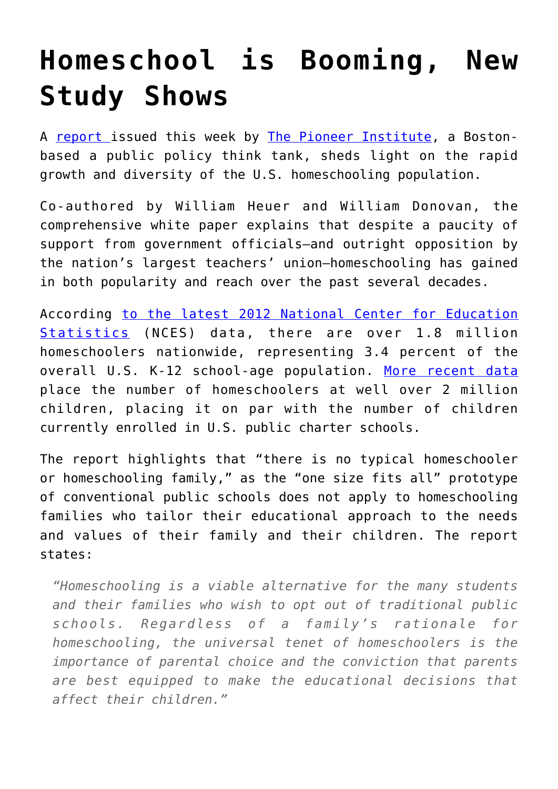## **[Homeschool is Booming, New](https://intellectualtakeout.org/2017/06/homeschool-is-booming-new-study-shows/) [Study Shows](https://intellectualtakeout.org/2017/06/homeschool-is-booming-new-study-shows/)**

A [report](http://pioneerinstitute.org/featured/study-states-provide-parents-information-homeschooling-options/) issued this week by [The Pioneer Institute,](http://pioneerinstitute.org/featured/study-states-provide-parents-information-homeschooling-options/) a Bostonbased a public policy think tank, sheds light on the rapid growth and diversity of the U.S. homeschooling population.

Co-authored by William Heuer and William Donovan, the comprehensive white paper explains that despite a paucity of support from government officials–and outright opposition by the nation's largest teachers' union–homeschooling has gained in both popularity and reach over the past several decades.

According [to the latest 2012 National Center for Education](https://nces.ed.gov/fastfacts/display.asp?id=91) [Statistics](https://nces.ed.gov/fastfacts/display.asp?id=91) (NCES) data, there are over 1.8 million homeschoolers nationwide, representing 3.4 percent of the overall U.S. K-12 school-age population. [More recent data](https://www.nheri.org/research/research-facts-on-homeschooling.html) place the number of homeschoolers at well over 2 million children, placing it on par with the number of children currently enrolled in U.S. public charter schools.

The report highlights that "there is no typical homeschooler or homeschooling family," as the "one size fits all" prototype of conventional public schools does not apply to homeschooling families who tailor their educational approach to the needs and values of their family and their children. The report states:

*"Homeschooling is a viable alternative for the many students and their families who wish to opt out of traditional public schools. Regardless of a family's rationale for homeschooling, the universal tenet of homeschoolers is the importance of parental choice and the conviction that parents are best equipped to make the educational decisions that affect their children."*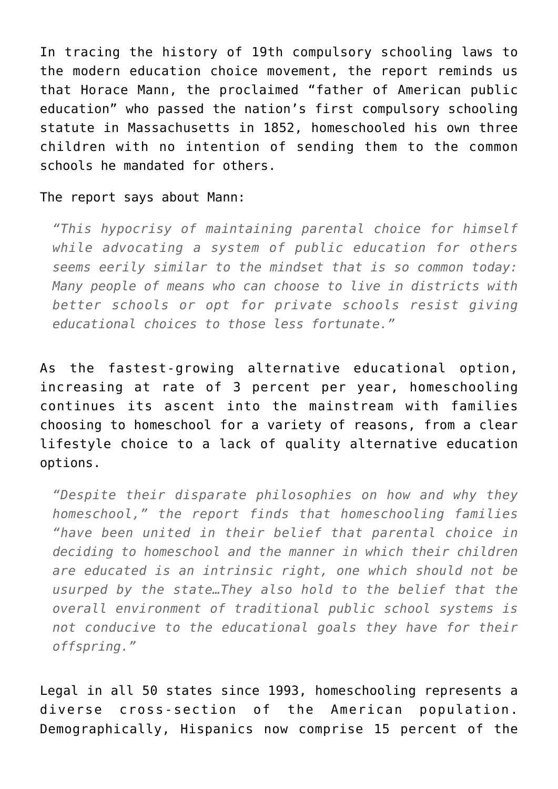In tracing the history of 19th compulsory schooling laws to the modern education choice movement, the report reminds us that Horace Mann, the proclaimed "father of American public education" who passed the nation's first compulsory schooling statute in Massachusetts in 1852, homeschooled his own three children with no intention of sending them to the common schools he mandated for others.

## The report says about Mann:

*"This hypocrisy of maintaining parental choice for himself while advocating a system of public education for others seems eerily similar to the mindset that is so common today: Many people of means who can choose to live in districts with better schools or opt for private schools resist giving educational choices to those less fortunate."*

As the fastest-growing alternative educational option, increasing at rate of 3 percent per year, homeschooling continues its ascent into the mainstream with families choosing to homeschool for a variety of reasons, from a clear lifestyle choice to a lack of quality alternative education options.

*"Despite their disparate philosophies on how and why they homeschool," the report finds that homeschooling families "have been united in their belief that parental choice in deciding to homeschool and the manner in which their children are educated is an intrinsic right, one which should not be usurped by the state…They also hold to the belief that the overall environment of traditional public school systems is not conducive to the educational goals they have for their offspring."*

Legal in all 50 states since 1993, homeschooling represents a diverse cross-section of the American population. Demographically, Hispanics now comprise 15 percent of the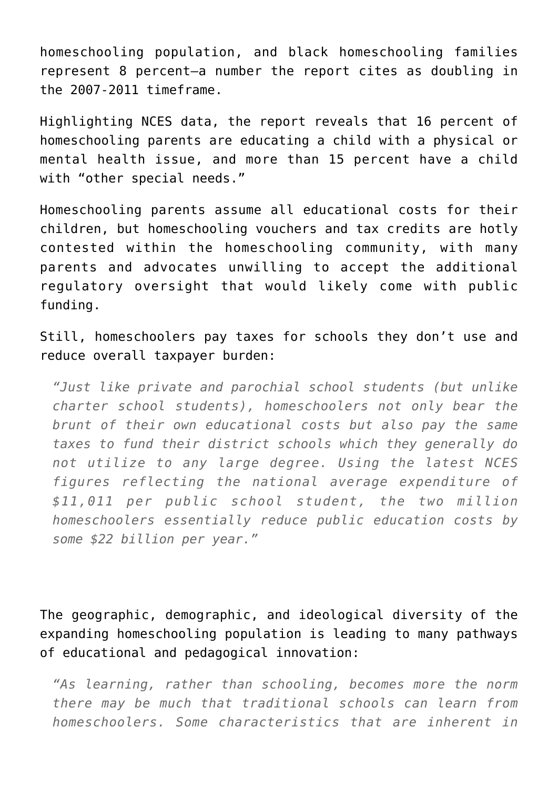homeschooling population, and black homeschooling families represent 8 percent–a number the report cites as doubling in the 2007-2011 timeframe.

Highlighting NCES data, the report reveals that 16 percent of homeschooling parents are educating a child with a physical or mental health issue, and more than 15 percent have a child with "other special needs."

Homeschooling parents assume all educational costs for their children, but homeschooling vouchers and tax credits are hotly contested within the homeschooling community, with many parents and advocates unwilling to accept the additional regulatory oversight that would likely come with public funding.

Still, homeschoolers pay taxes for schools they don't use and reduce overall taxpayer burden:

*"Just like private and parochial school students (but unlike charter school students), homeschoolers not only bear the brunt of their own educational costs but also pay the same taxes to fund their district schools which they generally do not utilize to any large degree. Using the latest NCES figures reflecting the national average expenditure of \$11,011 per public school student, the two million homeschoolers essentially reduce public education costs by some \$22 billion per year."*

The geographic, demographic, and ideological diversity of the expanding homeschooling population is leading to many pathways of educational and pedagogical innovation:

*"As learning, rather than schooling, becomes more the norm there may be much that traditional schools can learn from homeschoolers. Some characteristics that are inherent in*